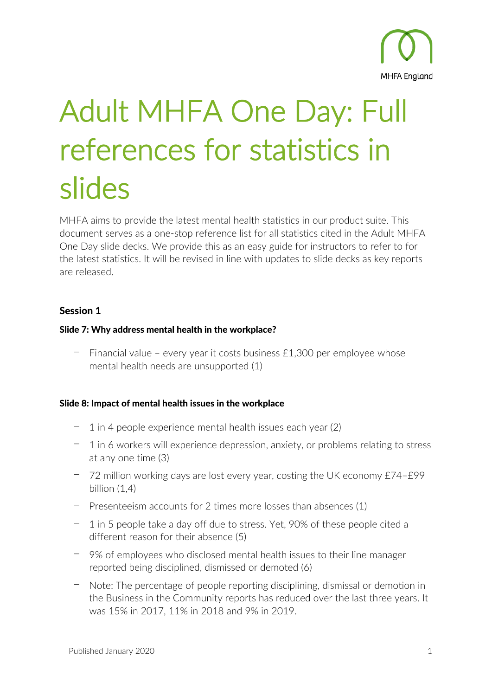

# Adult MHFA One Day: Full references for statistics in slides Suites of the latest mental health statistics in our product suite. This

document serves as a one-stop reference list for all statistics cited in the Adult MHFA One Day slide decks. We provide this as an easy guide for instructors to refer to for the latest statistics. It will be revised in line with updates to slide decks as key reports are released.

# Session 1

## Slide 7: Why address mental health in the workplace?

 $-$  Financial value – every year it costs business £1,300 per employee whose mental health needs are unsupported (1)

## Slide 8: Impact of mental health issues in the workplace

- 1 in 4 people experience mental health issues each year (2)
- $-$  1 in 6 workers will experience depression, anxiety, or problems relating to stress at any one time (3)
- ⎻ 72 million working days are lost every year, costing the UK economy £74–£99 billion (1,4)
- ⎻ Presenteeism accounts for 2 times more losses than absences (1)
- ⎻ 1 in 5 people take a day off due to stress. Yet, 90% of these people cited a different reason for their absence (5)
- ⎻ 9% of employees who disclosed mental health issues to their line manager reported being disciplined, dismissed or demoted (6)
- ⎻ Note: The percentage of people reporting disciplining, dismissal or demotion in the Business in the Community reports has reduced over the last three years. It was 15% in 2017, 11% in 2018 and 9% in 2019.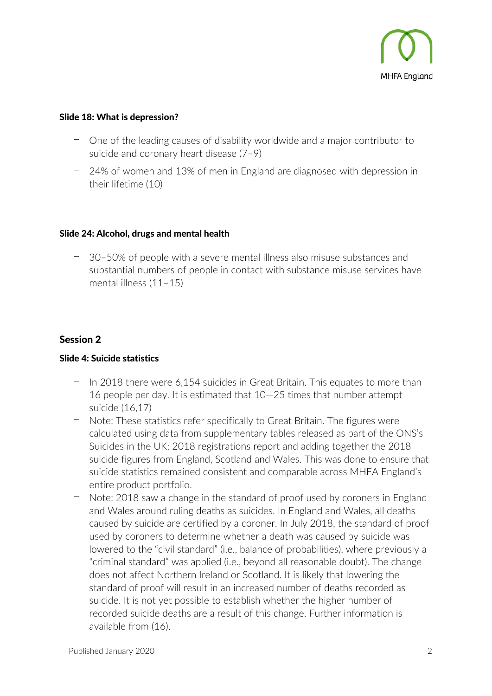

#### Slide 18: What is depression?

- ⎻ One of the leading causes of disability worldwide and a major contributor to suicide and coronary heart disease (7–9)
- ⎻ 24% of women and 13% of men in England are diagnosed with depression in their lifetime (10)

#### Slide 24: Alcohol, drugs and mental health

⎻ 30–50% of people with a severe mental illness also misuse substances and substantial numbers of people in contact with substance misuse services have mental illness (11–15)

## Session 2

#### Slide 4: Suicide statistics

- In 2018 there were 6,154 suicides in Great Britain. This equates to more than 16 people per day. It is estimated that 10—25 times that number attempt suicide (16,17)
- ⎻ Note: These statistics refer specifically to Great Britain. The figures were calculated using data from supplementary tables released as part of the ONS's Suicides in the UK: 2018 registrations report and adding together the 2018 suicide figures from England, Scotland and Wales. This was done to ensure that suicide statistics remained consistent and comparable across MHFA England's entire product portfolio.
- ⎻ Note: 2018 saw a change in the standard of proof used by coroners in England and Wales around ruling deaths as suicides. In England and Wales, all deaths caused by suicide are certified by a coroner. In July 2018, the standard of proof used by coroners to determine whether a death was caused by suicide was lowered to the "civil standard" (i.e., balance of probabilities), where previously a "criminal standard" was applied (i.e., beyond all reasonable doubt). The change does not affect Northern Ireland or Scotland. It is likely that lowering the standard of proof will result in an increased number of deaths recorded as suicide. It is not yet possible to establish whether the higher number of recorded suicide deaths are a result of this change. Further information is available from (16).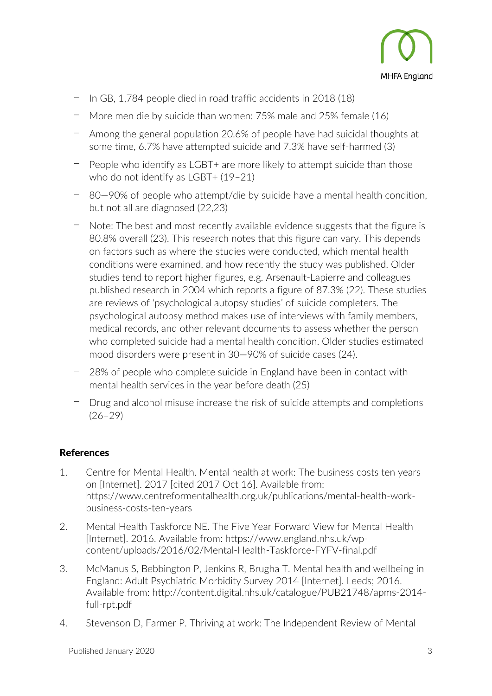

- ⎻ In GB, 1,784 people died in road traffic accidents in 2018 (18)
- More men die by suicide than women: 75% male and 25% female (16)
- Among the general population 20.6% of people have had suicidal thoughts at some time, 6.7% have attempted suicide and 7.3% have self-harmed (3)
- ⎻ People who identify as LGBT+ are more likely to attempt suicide than those who do not identify as LGBT+ (19-21)
- ⎻ 80—90% of people who attempt/die by suicide have a mental health condition, but not all are diagnosed (22,23)
- ⎻ Note: The best and most recently available evidence suggests that the figure is 80.8% overall (23). This research notes that this figure can vary. This depends on factors such as where the studies were conducted, which mental health conditions were examined, and how recently the study was published. Older studies tend to report higher figures, e.g. Arsenault-Lapierre and colleagues published research in 2004 which reports a figure of 87.3% (22). These studies are reviews of 'psychological autopsy studies' of suicide completers. The psychological autopsy method makes use of interviews with family members, medical records, and other relevant documents to assess whether the person who completed suicide had a mental health condition. Older studies estimated mood disorders were present in 30—90% of suicide cases (24).
- ⎻ 28% of people who complete suicide in England have been in contact with mental health services in the year before death (25)
- ⎻ Drug and alcohol misuse increase the risk of suicide attempts and completions (26–29)

# References

- 1. Centre for Mental Health. Mental health at work: The business costs ten years on [Internet]. 2017 [cited 2017 Oct 16]. Available from: https://www.centreformentalhealth.org.uk/publications/mental-health-workbusiness-costs-ten-years
- 2. Mental Health Taskforce NE. The Five Year Forward View for Mental Health [Internet]. 2016. Available from: https://www.england.nhs.uk/wpcontent/uploads/2016/02/Mental-Health-Taskforce-FYFV-final.pdf
- 3. McManus S, Bebbington P, Jenkins R, Brugha T. Mental health and wellbeing in England: Adult Psychiatric Morbidity Survey 2014 [Internet]. Leeds; 2016. Available from: http://content.digital.nhs.uk/catalogue/PUB21748/apms-2014 full-rpt.pdf
- 4. Stevenson D, Farmer P. Thriving at work: The Independent Review of Mental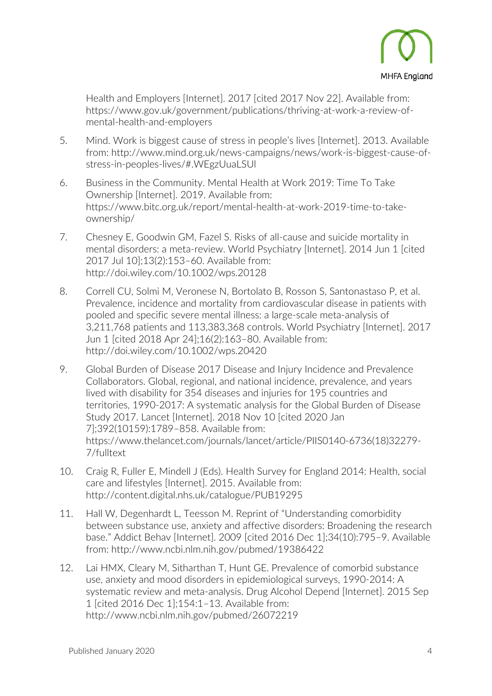

Health and Employers [Internet]. 2017 [cited 2017 Nov 22]. Available from: https://www.gov.uk/government/publications/thriving-at-work-a-review-ofmental-health-and-employers

- 5. Mind. Work is biggest cause of stress in people's lives [Internet]. 2013. Available from: http://www.mind.org.uk/news-campaigns/news/work-is-biggest-cause-ofstress-in-peoples-lives/#.WEgzUuaLSUl
- 6. Business in the Community. Mental Health at Work 2019: Time To Take Ownership [Internet]. 2019. Available from: https://www.bitc.org.uk/report/mental-health-at-work-2019-time-to-takeownership/
- 7. Chesney E, Goodwin GM, Fazel S. Risks of all-cause and suicide mortality in mental disorders: a meta-review. World Psychiatry [Internet]. 2014 Jun 1 [cited 2017 Jul 10];13(2):153–60. Available from: http://doi.wiley.com/10.1002/wps.20128
- 8. Correll CU, Solmi M, Veronese N, Bortolato B, Rosson S, Santonastaso P, et al. Prevalence, incidence and mortality from cardiovascular disease in patients with pooled and specific severe mental illness: a large-scale meta-analysis of 3,211,768 patients and 113,383,368 controls. World Psychiatry [Internet]. 2017 Jun 1 [cited 2018 Apr 24];16(2):163–80. Available from: http://doi.wiley.com/10.1002/wps.20420
- 9. Global Burden of Disease 2017 Disease and Injury Incidence and Prevalence Collaborators. Global, regional, and national incidence, prevalence, and years lived with disability for 354 diseases and injuries for 195 countries and territories, 1990-2017: A systematic analysis for the Global Burden of Disease Study 2017. Lancet [Internet]. 2018 Nov 10 [cited 2020 Jan 7];392(10159):1789–858. Available from: https://www.thelancet.com/journals/lancet/article/PIIS0140-6736(18)32279- 7/fulltext
- 10. Craig R, Fuller E, Mindell J (Eds). Health Survey for England 2014: Health, social care and lifestyles [Internet]. 2015. Available from: http://content.digital.nhs.uk/catalogue/PUB19295
- 11. Hall W, Degenhardt L, Teesson M. Reprint of "Understanding comorbidity between substance use, anxiety and affective disorders: Broadening the research base." Addict Behav [Internet]. 2009 [cited 2016 Dec 1];34(10):795–9. Available from: http://www.ncbi.nlm.nih.gov/pubmed/19386422
- 12. Lai HMX, Cleary M, Sitharthan T, Hunt GE. Prevalence of comorbid substance use, anxiety and mood disorders in epidemiological surveys, 1990-2014: A systematic review and meta-analysis. Drug Alcohol Depend [Internet]. 2015 Sep 1 [cited 2016 Dec 1];154:1–13. Available from: http://www.ncbi.nlm.nih.gov/pubmed/26072219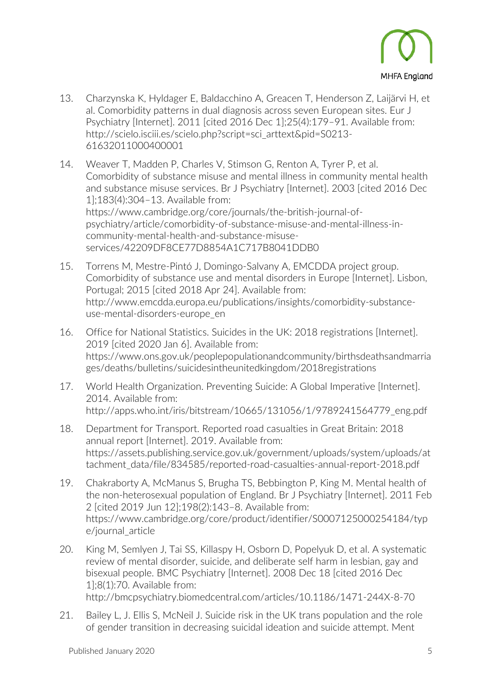

- 13. Charzynska K, Hyldager E, Baldacchino A, Greacen T, Henderson Z, Laijärvi H, et al. Comorbidity patterns in dual diagnosis across seven European sites. Eur J Psychiatry [Internet]. 2011 [cited 2016 Dec 1];25(4):179–91. Available from: http://scielo.isciii.es/scielo.php?script=sci\_arttext&pid=S0213- 61632011000400001
- 14. Weaver T, Madden P, Charles V, Stimson G, Renton A, Tyrer P, et al. Comorbidity of substance misuse and mental illness in community mental health and substance misuse services. Br J Psychiatry [Internet]. 2003 [cited 2016 Dec 1];183(4):304–13. Available from: https://www.cambridge.org/core/journals/the-british-journal-ofpsychiatry/article/comorbidity-of-substance-misuse-and-mental-illness-incommunity-mental-health-and-substance-misuseservices/42209DF8CE77D8854A1C717B8041DDB0
- 15. Torrens M, Mestre-Pintó J, Domingo-Salvany A, EMCDDA project group. Comorbidity of substance use and mental disorders in Europe [Internet]. Lisbon, Portugal; 2015 [cited 2018 Apr 24]. Available from: http://www.emcdda.europa.eu/publications/insights/comorbidity-substanceuse-mental-disorders-europe\_en
- 16. Office for National Statistics. Suicides in the UK: 2018 registrations [Internet]. 2019 [cited 2020 Jan 6]. Available from: https://www.ons.gov.uk/peoplepopulationandcommunity/birthsdeathsandmarria ges/deaths/bulletins/suicidesintheunitedkingdom/2018registrations
- 17. World Health Organization. Preventing Suicide: A Global Imperative [Internet]. 2014. Available from: http://apps.who.int/iris/bitstream/10665/131056/1/9789241564779\_eng.pdf
- 18. Department for Transport. Reported road casualties in Great Britain: 2018 annual report [Internet]. 2019. Available from: https://assets.publishing.service.gov.uk/government/uploads/system/uploads/at tachment\_data/file/834585/reported-road-casualties-annual-report-2018.pdf
- 19. Chakraborty A, McManus S, Brugha TS, Bebbington P, King M. Mental health of the non-heterosexual population of England. Br J Psychiatry [Internet]. 2011 Feb 2 [cited 2019 Jun 12];198(2):143–8. Available from: https://www.cambridge.org/core/product/identifier/S0007125000254184/typ e/journal\_article
- 20. King M, Semlyen J, Tai SS, Killaspy H, Osborn D, Popelyuk D, et al. A systematic review of mental disorder, suicide, and deliberate self harm in lesbian, gay and bisexual people. BMC Psychiatry [Internet]. 2008 Dec 18 [cited 2016 Dec 1];8(1):70. Available from: http://bmcpsychiatry.biomedcentral.com/articles/10.1186/1471-244X-8-70
- 21. Bailey L, J. Ellis S, McNeil J. Suicide risk in the UK trans population and the role of gender transition in decreasing suicidal ideation and suicide attempt. Ment